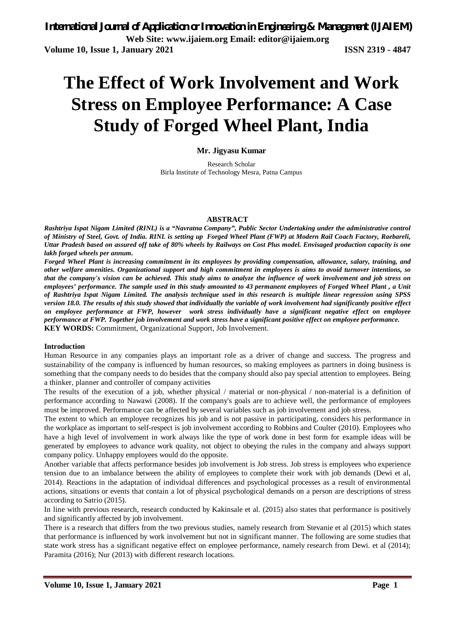# **The Effect of Work Involvement and Work Stress on Employee Performance: A Case Study of Forged Wheel Plant, India**

**Mr. Jigyasu Kumar**

Research Scholar Birla Institute of Technology Mesra, Patna Campus

#### **ABSTRACT**

*Rashtriya Ispat Nigam Limited (RINL) is a "Navratna Company", Public Sector Undertaking under the administrative control of Ministry of Steel, Govt. of India. RINL is setting up Forged Wheel Plant (FWP) at Modern Rail Coach Factory, Raebareli, Uttar Pradesh based on assured off take of 80% wheels by Railways on Cost Plus model. Envisaged production capacity is one lakh forged wheels per annum.*

*Forged Wheel Plant is increasing commitment in its employees by providing compensation, allowance, salary, training, and other welfare amenities. Organizational support and high commitment in employees is aims to avoid turnover intentions, so that the company's vision can be achieved. This study aims to analyze the influence of work involvement and job stress on employees' performance. The sample used in this study amounted to 43 permanent employees of Forged Wheel Plant , a Unit of Rashtriya Ispat Nigam Limited. The analysis technique used in this research is multiple linear regression using SPSS version 18.0. The results of this study showed that individually the variable of work involvement had significantly positive effect on employee performance at FWP, however work stress individually have a significant negative effect on employee performance at FWP. Together job involvement and work stress have a significant positive effect on employee performance.* **KEY WORDS:** Commitment, Organizational Support, Job Involvement.

#### **Introduction**

Human Resource in any companies plays an important role as a driver of change and success. The progress and sustainability of the company is influenced by human resources, so making employees as partners in doing business is something that the company needs to do besides that the company should also pay special attention to employees. Being a thinker, planner and controller of company activities

The results of the execution of a job, whether physical / material or non-physical / non-material is a definition of performance according to Nawawi (2008). If the company's goals are to achieve well, the performance of employees must be improved. Performance can be affected by several variables such as job involvement and job stress.

The extent to which an employee recognizes his job and is not passive in participating, considers his performance in the workplace as important to self-respect is job involvement according to Robbins and Coulter (2010). Employees who have a high level of involvement in work always like the type of work done in best form for example ideas will be generated by employees to advance work quality, not object to obeying the rules in the company and always support company policy. Unhappy employees would do the opposite.

Another variable that affects performance besides job involvement is Job stress. Job stress is employees who experience tension due to an imbalance between the ability of employees to complete their work with job demands (Dewi et al, 2014). Reactions in the adaptation of individual differences and psychological processes as a result of environmental actions, situations or events that contain a lot of physical psychological demands on a person are descriptions of stress according to Satrio (2015).

In line with previous research, research conducted by Kakinsale et al. (2015) also states that performance is positively and significantly affected by job involvement.

There is a research that differs from the two previous studies, namely research from Stevanie et al (2015) which states that performance is influenced by work involvement but not in significant manner. The following are some studies that state work stress has a significant negative effect on employee performance, namely research from Dewi. et al (2014); Paramita (2016); Nur (2013) with different research locations.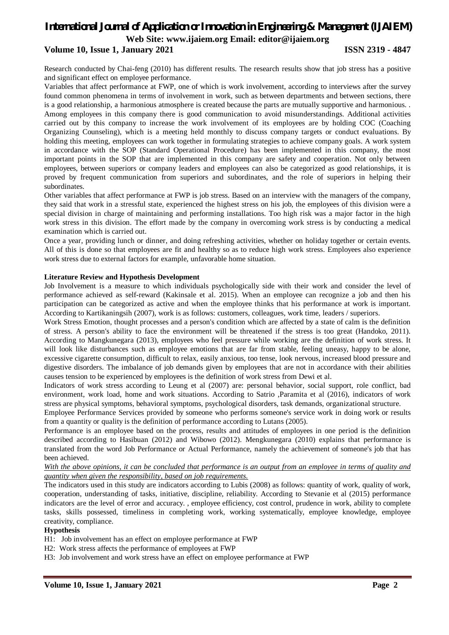# *International Journal of Application or Innovation in Engineering & Management (IJAIEM)* **Web Site: www.ijaiem.org Email: editor@ijaiem.org**

## **Volume 10, Issue 1, January 2021 ISSN 2319 - 4847**

Research conducted by Chai-feng (2010) has different results. The research results show that job stress has a positive and significant effect on employee performance.

Variables that affect performance at FWP, one of which is work involvement, according to interviews after the survey found common phenomena in terms of involvement in work, such as between departments and between sections, there is a good relationship, a harmonious atmosphere is created because the parts are mutually supportive and harmonious. . Among employees in this company there is good communication to avoid misunderstandings. Additional activities carried out by this company to increase the work involvement of its employees are by holding COC (Coaching Organizing Counseling), which is a meeting held monthly to discuss company targets or conduct evaluations. By holding this meeting, employees can work together in formulating strategies to achieve company goals. A work system in accordance with the SOP (Standard Operational Procedure) has been implemented in this company, the most important points in the SOP that are implemented in this company are safety and cooperation. Not only between employees, between superiors or company leaders and employees can also be categorized as good relationships, it is proved by frequent communication from superiors and subordinates, and the role of superiors in helping their subordinates.

Other variables that affect performance at FWP is job stress. Based on an interview with the managers of the company, they said that work in a stressful state, experienced the highest stress on his job, the employees of this division were a special division in charge of maintaining and performing installations. Too high risk was a major factor in the high work stress in this division. The effort made by the company in overcoming work stress is by conducting a medical examination which is carried out.

Once a year, providing lunch or dinner, and doing refreshing activities, whether on holiday together or certain events. All of this is done so that employees are fit and healthy so as to reduce high work stress. Employees also experience work stress due to external factors for example, unfavorable home situation.

#### **Literature Review and Hypothesis Development**

Job Involvement is a measure to which individuals psychologically side with their work and consider the level of performance achieved as self-reward (Kakinsale et al. 2015). When an employee can recognize a job and then his participation can be categorized as active and when the employee thinks that his performance at work is important. According to Kartikaningsih (2007), work is as follows: customers, colleagues, work time, leaders / superiors.

Work Stress Emotion, thought processes and a person's condition which are affected by a state of calm is the definition of stress. A person's ability to face the environment will be threatened if the stress is too great (Handoko, 2011). According to Mangkunegara (2013), employees who feel pressure while working are the definition of work stress. It will look like disturbances such as employee emotions that are far from stable, feeling uneasy, happy to be alone, excessive cigarette consumption, difficult to relax, easily anxious, too tense, look nervous, increased blood pressure and digestive disorders. The imbalance of job demands given by employees that are not in accordance with their abilities causes tension to be experienced by employees is the definition of work stress from Dewi et al.

Indicators of work stress according to Leung et al (2007) are: personal behavior, social support, role conflict, bad environment, work load, home and work situations. According to Satrio ,Paramita et al (2016), indicators of work stress are physical symptoms, behavioral symptoms, psychological disorders, task demands, organizational structure.

Employee Performance Services provided by someone who performs someone's service work in doing work or results from a quantity or quality is the definition of performance according to Lutans (2005).

Performance is an employee based on the process, results and attitudes of employees in one period is the definition described according to Hasibuan (2012) and Wibowo (2012). Mengkunegara (2010) explains that performance is translated from the word Job Performance or Actual Performance, namely the achievement of someone's job that has been achieved.

#### *With the above opinions, it can be concluded that performance is an output from an employee in terms of quality and quantity when given the responsibility, based on job requirements.*

The indicators used in this study are indicators according to Lubis (2008) as follows: quantity of work, quality of work, cooperation, understanding of tasks, initiative, discipline, reliability. According to Stevanie et al (2015) performance indicators are the level of error and accuracy. , employee efficiency, cost control, prudence in work, ability to complete tasks, skills possessed, timeliness in completing work, working systematically, employee knowledge, employee creativity, compliance.

#### **Hypothesis**

- H1: Job involvement has an effect on employee performance at FWP
- H2: Work stress affects the performance of employees at FWP
- H3: Job involvement and work stress have an effect on employee performance at FWP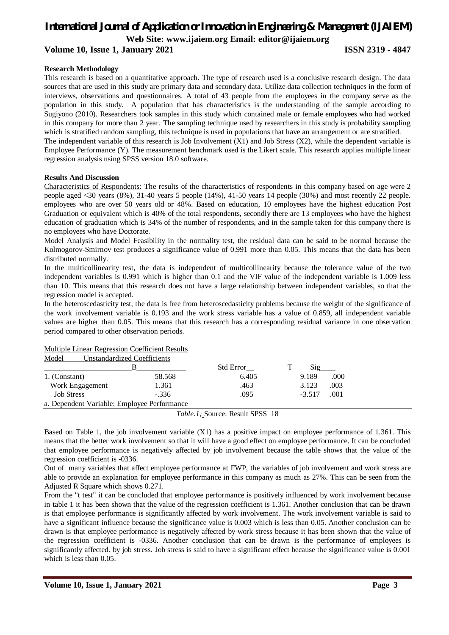# *International Journal of Application or Innovation in Engineering & Management (IJAIEM)*

**Web Site: www.ijaiem.org Email: editor@ijaiem.org**

### **Volume 10, Issue 1, January 2021 ISSN 2319 - 4847**

#### **Research Methodology**

This research is based on a quantitative approach. The type of research used is a conclusive research design. The data sources that are used in this study are primary data and secondary data. Utilize data collection techniques in the form of interviews, observations and questionnaires. A total of 43 people from the employees in the company serve as the population in this study. A population that has characteristics is the understanding of the sample according to Sugiyono (2010). Researchers took samples in this study which contained male or female employees who had worked in this company for more than 2 year. The sampling technique used by researchers in this study is probability sampling which is stratified random sampling, this technique is used in populations that have an arrangement or are stratified. The independent variable of this research is Job Involvement (X1) and Job Stress (X2), while the dependent variable is

Employee Performance (Y). The measurement benchmark used is the Likert scale. This research applies multiple linear regression analysis using SPSS version 18.0 software.

#### **Results And Discussion**

Characteristics of Respondents: The results of the characteristics of respondents in this company based on age were 2 people aged <30 years (8%), 31-40 years 5 people (14%), 41-50 years 14 people (30%) and most recently 22 people. employees who are over 50 years old or 48%. Based on education, 10 employees have the highest education Post Graduation or equivalent which is 40% of the total respondents, secondly there are 13 employees who have the highest education of graduation which is 34% of the number of respondents, and in the sample taken for this company there is no employees who have Doctorate.

Model Analysis and Model Feasibility in the normality test, the residual data can be said to be normal because the Kolmogorov-Smirnov test produces a significance value of 0.991 more than 0.05. This means that the data has been distributed normally.

In the multicollinearity test, the data is independent of multicollinearity because the tolerance value of the two independent variables is 0.991 which is higher than 0.1 and the VIF value of the independent variable is 1.009 less than 10. This means that this research does not have a large relationship between independent variables, so that the regression model is accepted.

In the heteroscedasticity test, the data is free from heteroscedasticity problems because the weight of the significance of the work involvement variable is 0.193 and the work stress variable has a value of 0.859, all independent variable values are higher than 0.05. This means that this research has a corresponding residual variance in one observation period compared to other observation periods.

| Model             |  | <b>Unstandardized Coefficients</b>          |                  |                 |      |
|-------------------|--|---------------------------------------------|------------------|-----------------|------|
|                   |  |                                             | <b>Std Error</b> | Si <sub>2</sub> |      |
| 1. (Constant)     |  | 58.568                                      | 6.405            | 9.189           | .000 |
| Work Engagement   |  | 1.361                                       | .463             | 3.123           | .003 |
| <b>Job Stress</b> |  | $-.336$                                     | .095             | $-3.517$        | .001 |
|                   |  | a. Dependent Variable: Employee Performance |                  |                 |      |

#### Multiple Linear Regression Coefficient Results

*Table.1;* Source: Result SPSS 18

Based on Table 1, the job involvement variable (X1) has a positive impact on employee performance of 1.361. This means that the better work involvement so that it will have a good effect on employee performance. It can be concluded that employee performance is negatively affected by job involvement because the table shows that the value of the regression coefficient is -0336.

Out of many variables that affect employee performance at FWP, the variables of job involvement and work stress are able to provide an explanation for employee performance in this company as much as 27%. This can be seen from the Adjusted R Square which shows 0.271.

From the "t test" it can be concluded that employee performance is positively influenced by work involvement because in table 1 it has been shown that the value of the regression coefficient is 1.361. Another conclusion that can be drawn is that employee performance is significantly affected by work involvement. The work involvement variable is said to have a significant influence because the significance value is 0.003 which is less than 0.05. Another conclusion can be drawn is that employee performance is negatively affected by work stress because it has been shown that the value of the regression coefficient is -0336. Another conclusion that can be drawn is the performance of employees is significantly affected. by job stress. Job stress is said to have a significant effect because the significance value is 0.001 which is less than 0.05.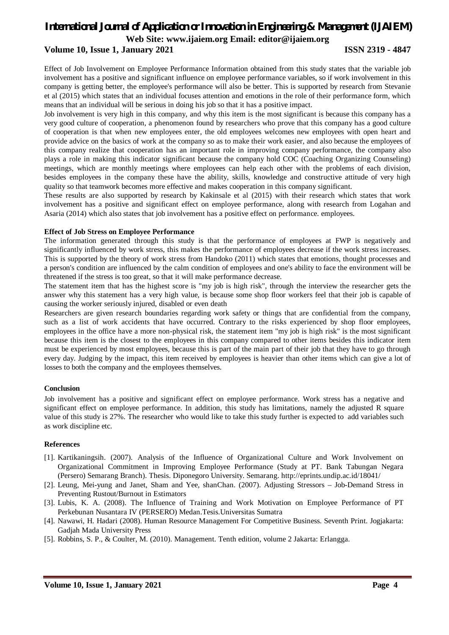# *International Journal of Application or Innovation in Engineering & Management (IJAIEM)*

**Web Site: www.ijaiem.org Email: editor@ijaiem.org**

## **Volume 10, Issue 1, January 2021 ISSN 2319 - 4847**

Effect of Job Involvement on Employee Performance Information obtained from this study states that the variable job involvement has a positive and significant influence on employee performance variables, so if work involvement in this company is getting better, the employee's performance will also be better. This is supported by research from Stevanie et al (2015) which states that an individual focuses attention and emotions in the role of their performance form, which means that an individual will be serious in doing his job so that it has a positive impact.

Job involvement is very high in this company, and why this item is the most significant is because this company has a very good culture of cooperation, a phenomenon found by researchers who prove that this company has a good culture of cooperation is that when new employees enter, the old employees welcomes new employees with open heart and provide advice on the basics of work at the company so as to make their work easier, and also because the employees of this company realize that cooperation has an important role in improving company performance, the company also plays a role in making this indicator significant because the company hold COC (Coaching Organizing Counseling) meetings, which are monthly meetings where employees can help each other with the problems of each division, besides employees in the company these have the ability, skills, knowledge and constructive attitude of very high quality so that teamwork becomes more effective and makes cooperation in this company significant.

These results are also supported by research by Kakinsale et al (2015) with their research which states that work involvement has a positive and significant effect on employee performance, along with research from Logahan and Asaria (2014) which also states that job involvement has a positive effect on performance. employees.

#### **Effect of Job Stress on Employee Performance**

The information generated through this study is that the performance of employees at FWP is negatively and significantly influenced by work stress, this makes the performance of employees decrease if the work stress increases. This is supported by the theory of work stress from Handoko (2011) which states that emotions, thought processes and a person's condition are influenced by the calm condition of employees and one's ability to face the environment will be threatened if the stress is too great, so that it will make performance decrease.

The statement item that has the highest score is "my job is high risk", through the interview the researcher gets the answer why this statement has a very high value, is because some shop floor workers feel that their job is capable of causing the worker seriously injured, disabled or even death

Researchers are given research boundaries regarding work safety or things that are confidential from the company, such as a list of work accidents that have occurred. Contrary to the risks experienced by shop floor employees, employees in the office have a more non-physical risk, the statement item "my job is high risk" is the most significant because this item is the closest to the employees in this company compared to other items besides this indicator item must be experienced by most employees, because this is part of the main part of their job that they have to go through every day. Judging by the impact, this item received by employees is heavier than other items which can give a lot of losses to both the company and the employees themselves.

#### **Conclusion**

Job involvement has a positive and significant effect on employee performance. Work stress has a negative and significant effect on employee performance. In addition, this study has limitations, namely the adjusted R square value of this study is 27%. The researcher who would like to take this study further is expected to add variables such as work discipline etc.

#### **References**

- [1]. Kartikaningsih. (2007). Analysis of the Influence of Organizational Culture and Work Involvement on Organizational Commitment in Improving Employee Performance (Study at PT. Bank Tabungan Negara (Persero) Semarang Branch). Thesis. Diponegoro University. Semarang. http://eprints.undip.ac.id/18041/
- [2]. Leung, Mei-yung and Janet, Sham and Yee, shanChan. (2007). Adjusting Stressors Job-Demand Stress in Preventing Rustout/Burnout in Estimators
- [3]. Lubis, K. A. (2008). The Influence of Training and Work Motivation on Employee Performance of PT Perkebunan Nusantara IV (PERSERO) Medan.Tesis.Universitas Sumatra
- [4]. Nawawi, H. Hadari (2008). Human Resource Management For Competitive Business. Seventh Print. Jogjakarta: Gadjah Mada University Press
- [5]. Robbins, S. P., & Coulter, M. (2010). Management. Tenth edition, volume 2 Jakarta: Erlangga.